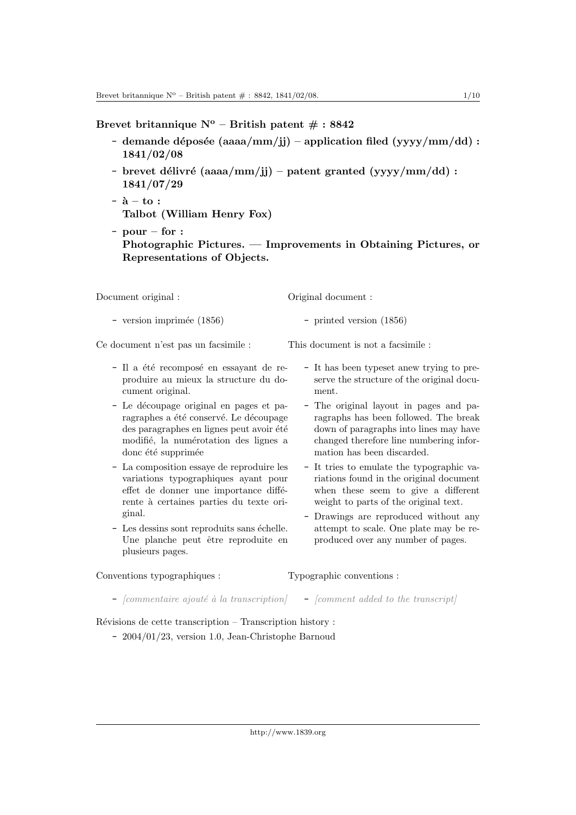## Brevet britannique  $N^{\circ}$  – British patent # : 8842

- demande déposée (aaaa/mm/jj) application filed (yyyy/mm/dd) : 1841/02/08
- brevet délivré (aaaa/mm/jj) patent granted (yyyy/mm/dd) : 1841/07/29
- $\mathbf{\hat{a}} \mathbf{to}$ : Talbot (William Henry Fox)
- pour for : Photographic Pictures. — Improvements in Obtaining Pictures, or Representations of Objects.

Document original :  $O$ riginal document :

ment.

- It has been typeset anew trying to preserve the structure of the original docu-

- The original layout in pages and paragraphs has been followed. The break down of paragraphs into lines may have changed therefore line numbering infor-

It tries to emulate the typographic variations found in the original document when these seem to give a different weight to parts of the original text. - Drawings are reproduced without any attempt to scale. One plate may be reproduced over any number of pages.

mation has been discarded.

- version imprimée (1856) - printed version (1856)

Ce document n'est pas un facsimile : This document is not a facsimile :

- Il a été recomposé en essayant de reproduire au mieux la structure du document original.
- Le découpage original en pages et paragraphes a été conservé. Le découpage des paragraphes en lignes peut avoir été modifié, la numérotation des lignes a donc été supprimée
- La composition essaye de reproduire les variations typographiques ayant pour effet de donner une importance différente à certaines parties du texte original.
- Les dessins sont reproduits sans échelle. Une planche peut être reproduite en plusieurs pages.

#### Conventions typographiques : Typographic conventions :

-  $[commentaire~ajouté~à~la~transcription]$  -  $[comment~added~to~the~transcript]$ 

 $Révisions de cette transcription - Transcription history :$ 

- 2004/01/23, version 1.0, Jean-Christophe Barnoud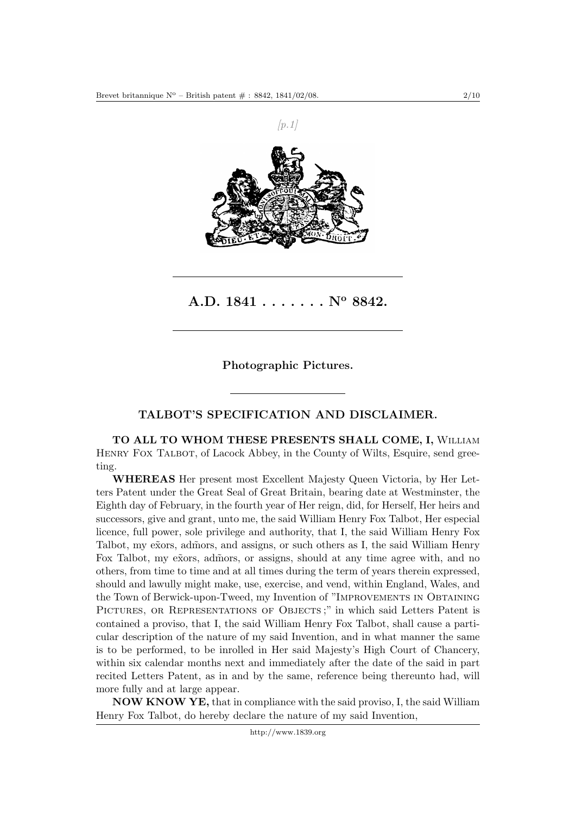

A.D.  $1841......$  N°  $8842$ .

## Photographic Pictures.

#### TALBOT'S SPECIFICATION AND DISCLAIMER.

TO ALL TO WHOM THESE PRESENTS SHALL COME, I, William Henry Fox Talbot, of Lacock Abbey, in the County of Wilts, Esquire, send greeting.

WHEREAS Her present most Excellent Majesty Queen Victoria, by Her Letters Patent under the Great Seal of Great Britain, bearing date at Westminster, the Eighth day of February, in the fourth year of Her reign, did, for Herself, Her heirs and successors, give and grant, unto me, the said William Henry Fox Talbot, Her especial licence, full power, sole privilege and authority, that I, the said William Henry Fox Talbot, my exors, admors, and assigns, or such others as I, the said William Henry Fox Talbot, my exors, admors, or assigns, should at any time agree with, and no others, from time to time and at all times during the term of years therein expressed, should and lawully might make, use, exercise, and vend, within England, Wales, and the Town of Berwick-upon-Tweed, my Invention of "IMPROVEMENTS IN OBTAINING PICTURES, OR REPRESENTATIONS OF OBJECTS;" in which said Letters Patent is contained a proviso, that I, the said William Henry Fox Talbot, shall cause a particular description of the nature of my said Invention, and in what manner the same is to be performed, to be inrolled in Her said Majesty's High Court of Chancery, within six calendar months next and immediately after the date of the said in part recited Letters Patent, as in and by the same, reference being thereunto had, will more fully and at large appear.

NOW KNOW YE, that in compliance with the said proviso, I, the said William Henry Fox Talbot, do hereby declare the nature of my said Invention,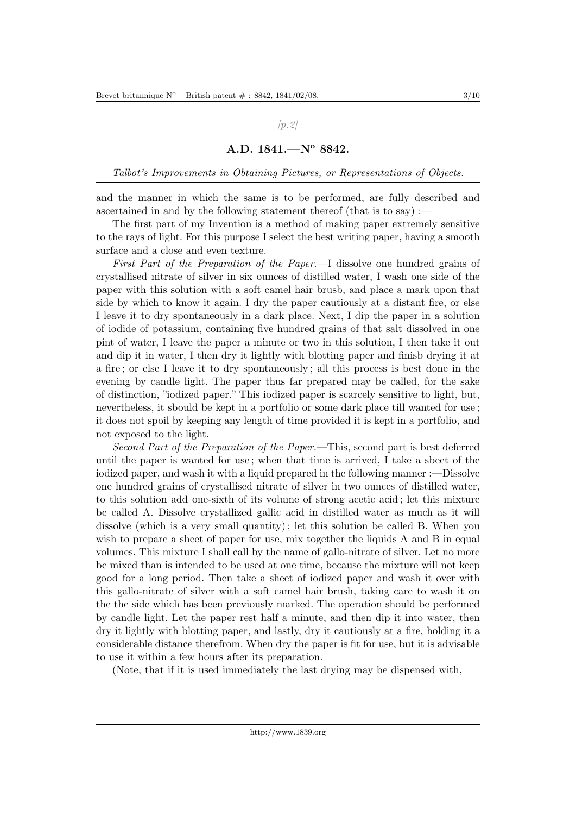$[p.2]$ 

### A.D. 1841.-N° 8842.

Talbot's Improvements in Obtaining Pictures, or Representations of Objects.

and the manner in which the same is to be performed, are fully described and ascertained in and by the following statement thereof (that is to say) :—

The first part of my Invention is a method of making paper extremely sensitive to the rays of light. For this purpose I select the best writing paper, having a smooth surface and a close and even texture.

First Part of the Preparation of the Paper.—I dissolve one hundred grains of crystallised nitrate of silver in six ounces of distilled water, I wash one side of the paper with this solution with a soft camel hair brusb, and place a mark upon that side by which to know it again. I dry the paper cautiously at a distant fire, or else I leave it to dry spontaneously in a dark place. Next, I dip the paper in a solution of iodide of potassium, containing five hundred grains of that salt dissolved in one pint of water, I leave the paper a minute or two in this solution, I then take it out and dip it in water, I then dry it lightly with blotting paper and finisb drying it at a fire ; or else I leave it to dry spontaneously ; all this process is best done in the evening by candle light. The paper thus far prepared may be called, for the sake of distinction, "iodized paper." This iodized paper is scarcely sensitive to light, but, nevertheless, it sbould be kept in a portfolio or some dark place till wanted for use ; it does not spoil by keeping any length of time provided it is kept in a portfolio, and not exposed to the light.

Second Part of the Preparation of the Paper.—This, second part is best deferred until the paper is wanted for use ; when that time is arrived, I take a sbeet of the iodized paper, and wash it with a liquid prepared in the following manner :—Dissolve one hundred grains of crystallised nitrate of silver in two ounces of distilled water, to this solution add one-sixth of its volume of strong acetic acid ; let this mixture be called A. Dissolve crystallized gallic acid in distilled water as much as it will dissolve (which is a very small quantity) ; let this solution be called B. When you wish to prepare a sheet of paper for use, mix together the liquids A and B in equal volumes. This mixture I shall call by the name of gallo-nitrate of silver. Let no more be mixed than is intended to be used at one time, because the mixture will not keep good for a long period. Then take a sheet of iodized paper and wash it over with this gallo-nitrate of silver with a soft camel hair brush, taking care to wash it on the the side which has been previously marked. The operation should be performed by candle light. Let the paper rest half a minute, and then dip it into water, then dry it lightly with blotting paper, and lastly, dry it cautiously at a fire, holding it a considerable distance therefrom. When dry the paper is fit for use, but it is advisable to use it within a few hours after its preparation.

(Note, that if it is used immediately the last drying may be dispensed with,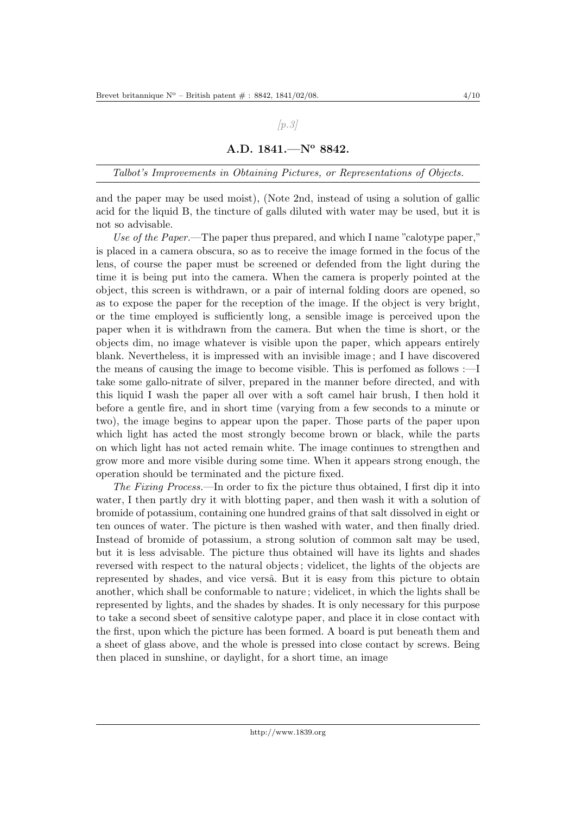### $[p,3]$

## A.D. 1841.-N° 8842.

Talbot's Improvements in Obtaining Pictures, or Representations of Objects.

and the paper may be used moist), (Note 2nd, instead of using a solution of gallic acid for the liquid B, the tincture of galls diluted with water may be used, but it is not so advisable.

Use of the Paper.—The paper thus prepared, and which I name "calotype paper," is placed in a camera obscura, so as to receive the image formed in the focus of the lens, of course the paper must be screened or defended from the light during the time it is being put into the camera. When the camera is properly pointed at the object, this screen is withdrawn, or a pair of internal folding doors are opened, so as to expose the paper for the reception of the image. If the object is very bright, or the time employed is sufficiently long, a sensible image is perceived upon the paper when it is withdrawn from the camera. But when the time is short, or the objects dim, no image whatever is visible upon the paper, which appears entirely blank. Nevertheless, it is impressed with an invisible image ; and I have discovered the means of causing the image to become visible. This is perfomed as follows :—I take some gallo-nitrate of silver, prepared in the manner before directed, and with this liquid I wash the paper all over with a soft camel hair brush, I then hold it before a gentle fire, and in short time (varying from a few seconds to a minute or two), the image begins to appear upon the paper. Those parts of the paper upon which light has acted the most strongly become brown or black, while the parts on which light has not acted remain white. The image continues to strengthen and grow more and more visible during some time. When it appears strong enough, the operation should be terminated and the picture fixed.

The Fixing Process.—In order to fix the picture thus obtained, I first dip it into water, I then partly dry it with blotting paper, and then wash it with a solution of bromide of potassium, containing one hundred grains of that salt dissolved in eight or ten ounces of water. The picture is then washed with water, and then finally dried. Instead of bromide of potassium, a strong solution of common salt may be used, but it is less advisable. The picture thus obtained will have its lights and shades reversed with respect to the natural objects ; videlicet, the lights of the objects are represented by shades, and vice versa<sup>3</sup>. But it is easy from this picture to obtain another, which shall be conformable to nature ; videlicet, in which the lights shall be represented by lights, and the shades by shades. It is only necessary for this purpose to take a second sbeet of sensitive calotype paper, and place it in close contact with the first, upon which the picture has been formed. A board is put beneath them and a sheet of glass above, and the whole is pressed into close contact by screws. Being then placed in sunshine, or daylight, for a short time, an image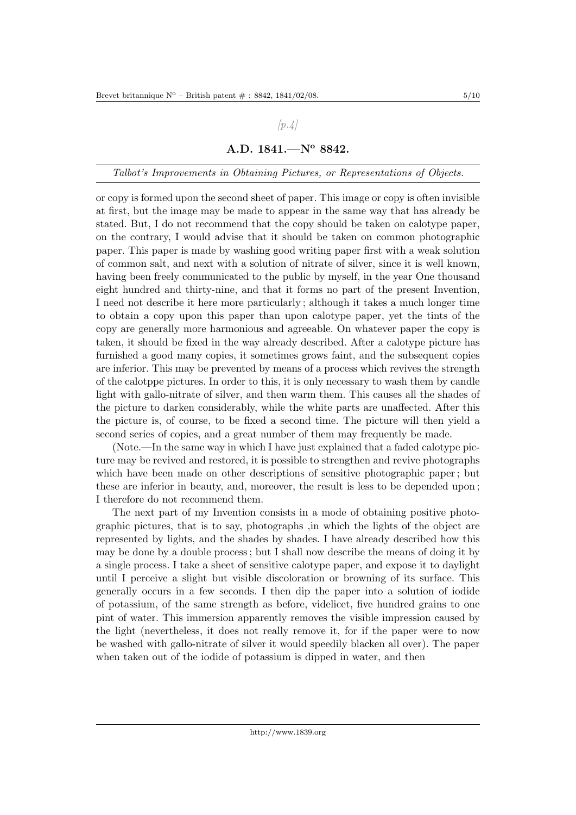$[p.4]$ 

# A.D. 1841.-N° 8842.

#### Talbot's Improvements in Obtaining Pictures, or Representations of Objects.

or copy is formed upon the second sheet of paper. This image or copy is often invisible at first, but the image may be made to appear in the same way that has already be stated. But, I do not recommend that the copy should be taken on calotype paper, on the contrary, I would advise that it should be taken on common photographic paper. This paper is made by washing good writing paper first with a weak solution of common salt, and next with a solution of nitrate of silver, since it is well known, having been freely communicated to the public by myself, in the year One thousand eight hundred and thirty-nine, and that it forms no part of the present Invention, I need not describe it here more particularly ; although it takes a much longer time to obtain a copy upon this paper than upon calotype paper, yet the tints of the copy are generally more harmonious and agreeable. On whatever paper the copy is taken, it should be fixed in the way already described. After a calotype picture has furnished a good many copies, it sometimes grows faint, and the subsequent copies are inferior. This may be prevented by means of a process which revives the strength of the calotppe pictures. In order to this, it is only necessary to wash them by candle light with gallo-nitrate of silver, and then warm them. This causes all the shades of the picture to darken considerably, while the white parts are unaffected. After this the picture is, of course, to be fixed a second time. The picture will then yield a second series of copies, and a great number of them may frequently be made.

(Note.—In the same way in which I have just explained that a faded calotype picture may be revived and restored, it is possible to strengthen and revive photographs which have been made on other descriptions of sensitive photographic paper; but these are inferior in beauty, and, moreover, the result is less to be depended upon ; I therefore do not recommend them.

The next part of my Invention consists in a mode of obtaining positive photographic pictures, that is to say, photographs ,in which the lights of the object are represented by lights, and the shades by shades. I have already described how this may be done by a double process ; but I shall now describe the means of doing it by a single process. I take a sheet of sensitive calotype paper, and expose it to daylight until I perceive a slight but visible discoloration or browning of its surface. This generally occurs in a few seconds. I then dip the paper into a solution of iodide of potassium, of the same strength as before, videlicet, five hundred grains to one pint of water. This immersion apparently removes the visible impression caused by the light (nevertheless, it does not really remove it, for if the paper were to now be washed with gallo-nitrate of silver it would speedily blacken all over). The paper when taken out of the iodide of potassium is dipped in water, and then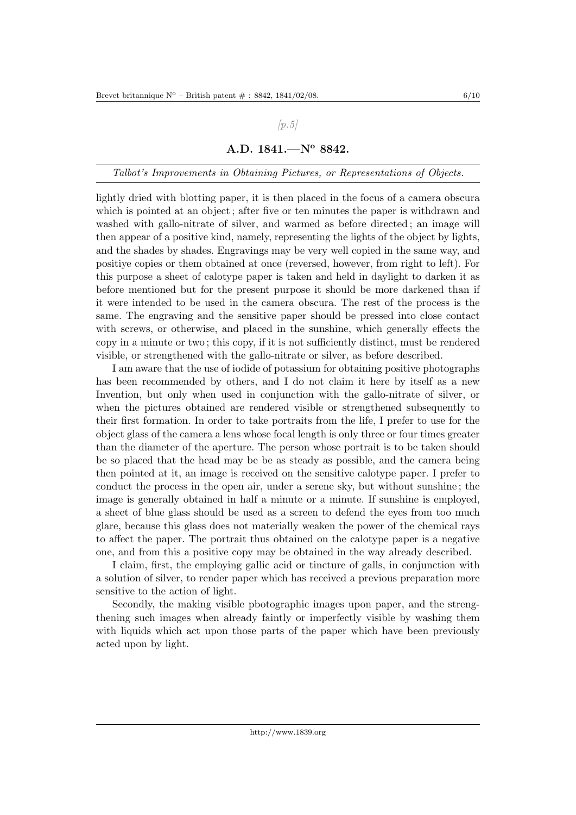$[p, 5]$ 

### A.D. 1841.-N° 8842.

#### Talbot's Improvements in Obtaining Pictures, or Representations of Objects.

lightly dried with blotting paper, it is then placed in the focus of a camera obscura which is pointed at an object ; after five or ten minutes the paper is withdrawn and washed with gallo-nitrate of silver, and warmed as before directed ; an image will then appear of a positive kind, namely, representing the lights of the object by lights, and the shades by shades. Engravings may be very well copied in the same way, and positiye copies or them obtained at once (reversed, however, from right to left). For this purpose a sheet of calotype paper is taken and held in daylight to darken it as before mentioned but for the present purpose it should be more darkened than if it were intended to be used in the camera obscura. The rest of the process is the same. The engraving and the sensitive paper should be pressed into close contact with screws, or otherwise, and placed in the sunshine, which generally effects the copy in a minute or two ; this copy, if it is not sufficiently distinct, must be rendered visible, or strengthened with the gallo-nitrate or silver, as before described.

I am aware that the use of iodide of potassium for obtaining positive photographs has been recommended by others, and I do not claim it here by itself as a new Invention, but only when used in conjunction with the gallo-nitrate of silver, or when the pictures obtained are rendered visible or strengthened subsequently to their first formation. In order to take portraits from the life, I prefer to use for the object glass of the camera a lens whose focal length is only three or four times greater than the diameter of the aperture. The person whose portrait is to be taken should be so placed that the head may be be as steady as possible, and the camera being then pointed at it, an image is received on the sensitive calotype paper. I prefer to conduct the process in the open air, under a serene sky, but without sunshine ; the image is generally obtained in half a minute or a minute. If sunshine is employed, a sheet of blue glass should be used as a screen to defend the eyes from too much glare, because this glass does not materially weaken the power of the chemical rays to affect the paper. The portrait thus obtained on the calotype paper is a negative one, and from this a positive copy may be obtained in the way already described.

I claim, first, the employing gallic acid or tincture of galls, in conjunction with a solution of silver, to render paper which has received a previous preparation more sensitive to the action of light.

Secondly, the making visible pbotographic images upon paper, and the strengthening such images when already faintly or imperfectly visible by washing them with liquids which act upon those parts of the paper which have been previously acted upon by light.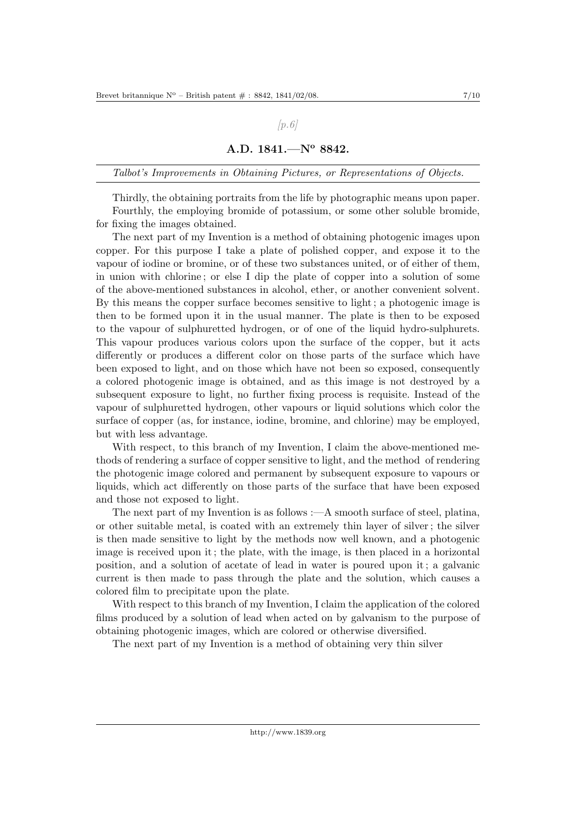$[p,6]$ 

### A.D. 1841.-N° 8842.

Talbot's Improvements in Obtaining Pictures, or Representations of Objects.

Thirdly, the obtaining portraits from the life by photographic means upon paper. Fourthly, the employing bromide of potassium, or some other soluble bromide, for fixing the images obtained.

The next part of my Invention is a method of obtaining photogenic images upon copper. For this purpose I take a plate of polished copper, and expose it to the vapour of iodine or bromine, or of these two substances united, or of either of them, in union with chlorine ; or else I dip the plate of copper into a solution of some of the above-mentioned substances in alcohol, ether, or another convenient solvent. By this means the copper surface becomes sensitive to light ; a photogenic image is then to be formed upon it in the usual manner. The plate is then to be exposed to the vapour of sulphuretted hydrogen, or of one of the liquid hydro-sulphurets. This vapour produces various colors upon the surface of the copper, but it acts differently or produces a different color on those parts of the surface which have been exposed to light, and on those which have not been so exposed, consequently a colored photogenic image is obtained, and as this image is not destroyed by a subsequent exposure to light, no further fixing process is requisite. Instead of the vapour of sulphuretted hydrogen, other vapours or liquid solutions which color the surface of copper (as, for instance, iodine, bromine, and chlorine) may be employed, but with less advantage.

With respect, to this branch of my Invention, I claim the above-mentioned methods of rendering a surface of copper sensitive to light, and the method of rendering the photogenic image colored and permanent by subsequent exposure to vapours or liquids, which act differently on those parts of the surface that have been exposed and those not exposed to light.

The next part of my Invention is as follows :—A smooth surface of steel, platina, or other suitable metal, is coated with an extremely thin layer of silver ; the silver is then made sensitive to light by the methods now well known, and a photogenic image is received upon it ; the plate, with the image, is then placed in a horizontal position, and a solution of acetate of lead in water is poured upon it ; a galvanic current is then made to pass through the plate and the solution, which causes a colored film to precipitate upon the plate.

With respect to this branch of my Invention, I claim the application of the colored films produced by a solution of lead when acted on by galvanism to the purpose of obtaining photogenic images, which are colored or otherwise diversified.

The next part of my Invention is a method of obtaining very thin silver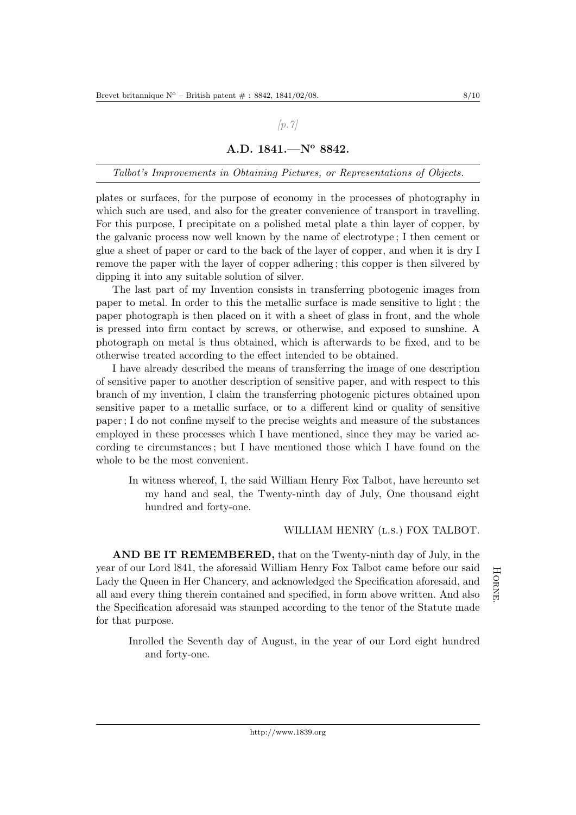$[p, \gamma]$ 

# A.D. 1841.-N° 8842.

Talbot's Improvements in Obtaining Pictures, or Representations of Objects.

plates or surfaces, for the purpose of economy in the processes of photography in which such are used, and also for the greater convenience of transport in travelling. For this purpose, I precipitate on a polished metal plate a thin layer of copper, by the galvanic process now well known by the name of electrotype ; I then cement or glue a sheet of paper or card to the back of the layer of copper, and when it is dry I remove the paper with the layer of copper adhering ; this copper is then silvered by dipping it into any suitable solution of silver.

The last part of my Invention consists in transferring pbotogenic images from paper to metal. In order to this the metallic surface is made sensitive to light ; the paper photograph is then placed on it with a sheet of glass in front, and the whole is pressed into firm contact by screws, or otherwise, and exposed to sunshine. A photograph on metal is thus obtained, which is afterwards to be fixed, and to be otherwise treated according to the effect intended to be obtained.

I have already described the means of transferring the image of one description of sensitive paper to another description of sensitive paper, and with respect to this branch of my invention, I claim the transferring photogenic pictures obtained upon sensitive paper to a metallic surface, or to a different kind or quality of sensitive paper ; I do not confine myself to the precise weights and measure of the substances employed in these processes which I have mentioned, since they may be varied according te circumstances ; but I have mentioned those which I have found on the whole to be the most convenient.

In witness whereof, I, the said William Henry Fox Talbot, have hereunto set my hand and seal, the Twenty-ninth day of July, One thousand eight hundred and forty-one.

#### WILLIAM HENRY (L.S.) FOX TALBOT.

AND BE IT REMEMBERED, that on the Twenty-ninth day of July, in the year of our Lord l841, the aforesaid William Henry Fox Talbot came before our said Lady the Queen in Her Chancery, and acknowledged the Specification aforesaid, and all and every thing therein contained and specified, in form above written. And also the Specification aforesaid was stamped according to the tenor of the Statute made for that purpose.

Inrolled the Seventh day of August, in the year of our Lord eight hundred and forty-one.

Horne.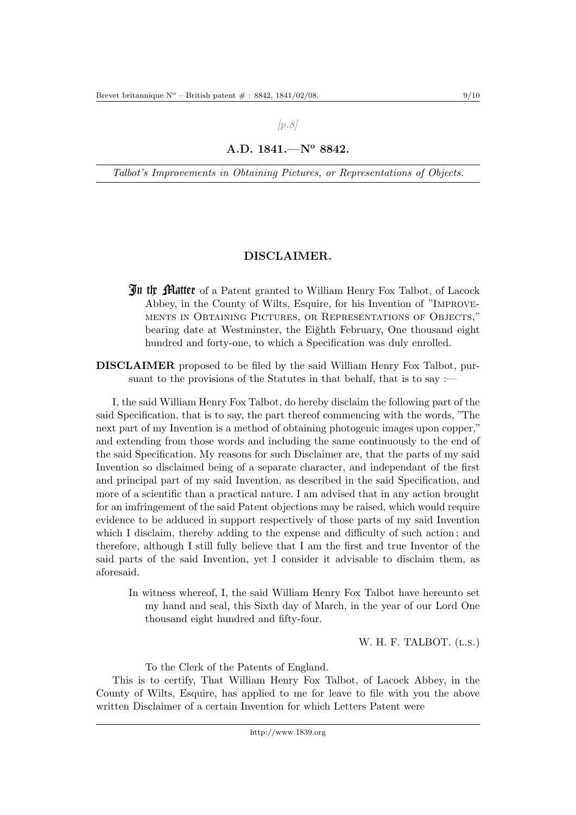$[p, 8]$ 

# A.D.  $1841 - N^{\circ} 8842$ .

Talbot's Improvements in Obtaining Pictures, or Representations of Objects.

# DISCLAIMER.

**In the flutter** of a Patent granted to William Henry Fox Talbot, of Lacock Abbey, in the County of Wilts, Esquire, for his Invention of "Improvements in Obtaining Pictures, or Representations of Objects," bearing date at Westminster, the Eiğhth February, One thousand eight hundred and forty-one, to which a Specification was duly enrolled.

DISCLAIMER proposed to be filed by the said William Henry Fox Talbot, pursuant to the provisions of the Statutes in that behalf, that is to say :-

I, the said William Henry Fox Talbot, do hereby disclaim the following part of the said Specification, that is to say, the part thereof commencing with the words, "The next part of my Invention is a method of obtaining photogenic images upon copper," and extending from those words and including the same continuously to the end of the said Specification. My reasons for such Disclaimer are, that the parts of my said Invention so disclaimed being of a separate character, and independant of the first and principal part of my said Invention, as described in the said Specification, and more of a scientific than a practical nature. I am advised that in any action brought for an imfringement of the said Patent objections may be raised, which would require evidence to be adduced in support respectively of those parts of my said Invention which I disclaim, thereby adding to the expense and difficulty of such action; and therefore, although I still fully believe that I am the first and true Inventor of the said parts of the said Invention, yet I consider it advisable to disclaim them, as aforesaid.

In witness whereof, I, the said William Henry Fox Talbot have hereunto set my hand and seal, this Sixth day of March, in the year of our Lord One thousand eight hundred and fifty-four.

W. H. F. TALBOT. (L.S.)

To the Clerk of the Patents of England.

This is to certify, That William Henry Fox Talbot, of Lacock Abbey, in the County of Wilts, Esquire, has applied to me for leave to file with you the above written Disclaimer of a certain Invention for which Letters Patent were

http://www.1839.org